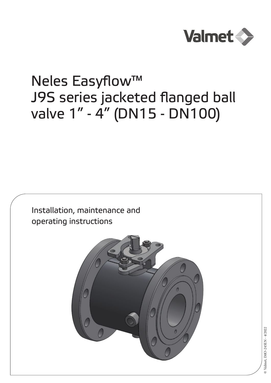

# Neles Easyflow™ J9S series jacketed flanged ball valve 1" - 4" (DN15 - DN100)

Installation, maintenance and operating instructions

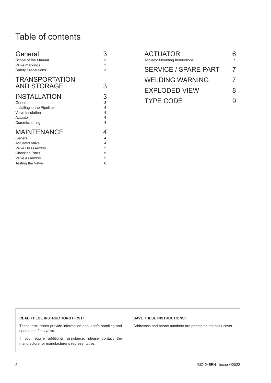# Table of contents

| General<br>Scope of the Manual              | 3<br>3 |
|---------------------------------------------|--------|
| Valve markings                              | 3      |
| <b>Safety Precautions</b>                   | 3      |
| <b>TRANSPORTATION</b><br><b>AND STORAGE</b> | 3      |
| <b>INSTALLATION</b>                         | 3      |
| General                                     | 3      |
| Installing in the Pipeline                  | 4      |
| Valve Insulation                            | 4      |
| Actuator                                    | 4      |
| Commissioning                               | 4      |
| <b>MAINTENANCE</b>                          | 4      |
| General                                     | 4      |
| <b>Actuated Valve</b>                       | 4      |
| Valve Disassembly                           | 5      |
| <b>Checking Parts</b>                       | 5      |
| <b>Valve Assembly</b>                       | 5      |
| Testing the Valve                           | 6      |

| <b>ACTUATOR</b><br><b>Actuator Mounting Instructions</b> |          |
|----------------------------------------------------------|----------|
| <b>SERVICE / SPARE PART</b>                              | 7        |
| <b>WELDING WARNING</b>                                   | $\prime$ |
| <b>EXPLODED VIEW</b>                                     | 8        |
| <b>TYPE CODE</b>                                         |          |

#### **READ THESE INSTRUCTIONS FIRST!**

These instructions provide information about safe handling and operation of the valve.

If you require additional assistance, please contact the manufacturer or manufacturer's representative.

#### **SAVE THESE INSTRUCTIONS!**

Addresses and phone numbers are printed on the back cover.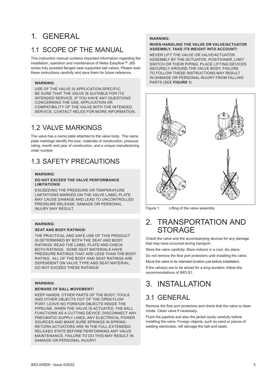# 1. GENERAL

# 1.1 SCOPE OF THE MANUAL

This instruction manual contains important information regarding the installation, operation and maintenance of Neles Easyflow™ J9S series fully jacketed flanged seat supported ball valves. Please read these instructions carefully and save them for future reference.

### **WARNING:**

USE OF THE VALVE IS APPLICATION SPECIFIC. BE SURE THAT THE VALVE IS SUITABLE FOR ITS INTENDED SERVICE. IF YOU HAVE ANY QUESTIONS CONCERNING THE USE, APPLICATION OR COMPATIBILITY OF THE VALVE WITH THE INTENDED SERVICE, CONTACT NELES FOR MORE INFORMATION.

# 1.2 VALVE MARKINGS

The valve has a name plate attached to the valve body. The name plate markings identify the size, materials of construction, pressure rating, month and year of construction, and a unique manufacturing order number.

# 1.3 SAFETY PRECAUTIONS

#### **WARNING:**

#### **DO NOT EXCEED THE VALVE PERFORMANCE LIMITATIONS!**

EXCEEDING THE PRESSURE OR TEMPERATURE LIMITATIONS MARKED ON THE VALVE LABEL PLATE MAY CAUSE DAMAGE AND LEAD TO UNCONTROLLED PRESSURE RELEASE. DAMAGE OR PERSONAL INJURY MAY RESULT.

### **WARNING:**

### **SEAT AND BODY RATINGS!**

THE PRACTICAL AND SAFE USE OF THIS PRODUCT IS DETERMINED BY BOTH THE SEAT AND BODY RATINGS. READ THE LABEL PLATE AND CHECK BOTH RATINGS. SOME SEAT MATERIALS HAVE PRESSURE RATINGS THAT ARE LESS THAN THE BODY RATING. ALL OF THE BODY AND SEAT RATINGS ARE DEPENDENT ON VALVE TYPE AND SEAT MATERIAL. DO NOT EXCEED THESE RATINGS!

#### **WARNING:**

#### **BEWARE OF BALL MOVEMENT!**

KEEP HANDS, OTHER PARTS OF THE BODY, TOOLS AND OTHER OBJECTS OUT OF THE OPEN FLOW PORT. LEAVE NO FOREIGN OBJECTS INSIDE THE PIPELINE. WHEN THE VALVE IS ACTUATED, THE BALL FUNCTIONS AS A CUTTING DEVICE. DISCONNECT ANY PNEUMATIC SUPPLY LINES, ANY ELECTRICAL POWER SOURCES AND MAKE SURE SPRINGS IN SPRING-RETURN ACTUATORS ARE IN THE FULL EXTENDED/ RELAXED STATE BEFORE PERFORMING ANY VALVE MAINTENANCE. FAILURE TO DO THIS MAY RESULT IN DAMAGE OR PERSONAL INJURY!

#### **WARNING:**

#### **WHEN HANDLING THE VALVE OR VALVE/ACTUATOR ASSEMBLY, TAKE ITS WEIGHT INTO ACCOUNT!**

NEVER LIFT THE VALVE OR VALVE/ACTUATOR ASSEMBLY BY THE ACTUATOR, POSITIONER, LIMIT SWITCH OR THEIR PIPING. PLACE LIFTING DEVICES SECURELY AROUND THE VALVE BODY. FAILURE TO FOLLOW THESE INSTRUCTIONS MAY RESULT IN DAMAGE OR PERSONAL INJURY FROM FALLING PARTS (SEE **FIGURE 1**).



Figure 1. Lifting of the valve assembly

# 2. TRANSPORTATION AND STORAGE

Check the valve and the accompanying devices for any damage that may have occurred during transport.

Store the valve carefully. Store indoors in a cool, dry place.

Do not remove the flow port protectors until installing the valve. Move the valve to its intended location just before installation.

If the valve(s) are to be stored for a long duration, follow the recommendations of IMO-S1.

# 3. INSTALLATION

# 3.1 GENERAL

Remove the flow port protectors and check that the valve is clean inside. Clean valve if necessary.

Flush the pipeline and also the jacket cavity carefully before installing the valve. Foreign objects, such as sand or pieces of welding electrodes, will damage the ball and seats.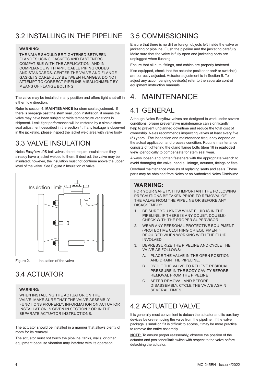# 3.2 INSTALLING IN THE PIPELINE

#### **WARNING:**

THE VALVE SHOULD BE TIGHTENED BETWEEN FLANGES USING GASKETS AND FASTENERS COMPATIBLE WITH THE APPLICATION, AND IN COMPLIANCE WITH APPLICABLE PIPING CODES AND STANDARDS. CENTER THE VALVE AND FLANGE GASKETS CAREFULLY BETWEEN FLANGES. DO NOT ATTEMPT TO CORRECT PIPELINE MISALIGNMENT BY MEANS OF FLANGE BOLTING!

The valve may be installed in any position and offers tight shut-off in either flow direction.

Refer to section 4, **MAINTENANCE** for stem seal adjustment. If there is seepage past the stem seal upon installation, it means the valve may have been subject to wide temperature variations in shipment. Leak-tight performance will be restored by a simple stem seal adjustment described in the section 4. If any leakage is observed in the jacketing, please inspect the jacket weld area with valve body.

# 3.3 VALVE INSULATION

Neles Easyflow J9S ball valves do not require insulation as they already have a jacket welded to them. If desired, the valve may be insulated; however, the insulation must not continue above the upper level of the valve. See **Figure 2** Insulation of valve.



Figure 2. Insulation of the valve

# 3.4 ACTUATOR

#### **WARNING:**

WHEN INSTALLING THE ACTUATOR ON THE VALVE, MAKE SURE THAT THE VALVE ASSEMBLY FUNCTIONS PROPERLY. INFORMATION ON ACTUATOR INSTALLATION IS GIVEN IN SECTION 7 OR IN THE SEPARATE ACTUATOR INSTRUCTIONS.

The actuator should be installed in a manner that allows plenty of room for its removal.

The actuator must not touch the pipeline, tanks, walls, or other equipment because vibration may interfere with its operation.

# 3.5 COMMISSIONING

Ensure that there is no dirt or foreign objects left inside the valve or jacketing or pipeline. Flush the pipeline and the jacketing carefully. Make sure that the valve is fully open and jacketing ports are unplugged when flushing.

Ensure that all nuts, fittings, and cables are properly fastened.

If so equipped, check that the actuator positioner and/ or switch(s) are correctly adjusted. Actuator adjustment is in Section 5. To adjust any accompanying device(s) refer to the separate control equipment instruction manuals.

# 4. MAINTENANCE

# 4.1 GENERAL

Although Neles Easyflow valves are designed to work under severe conditions, proper preventative maintenance can significantly help to prevent unplanned downtime and reduce the total cost of ownership. Neles recommends inspecting valves at least every five (5) years. The inspection and maintenance frequency depend on the actual application and process condition. Routine maintenance consists of tightening the gland flange bolts (item 16 in **exploded view**) periodically to compensate for stem seal wear.

Always loosen and tighten fasteners with the appropriate wrench to avoid damaging the valve, handle, linkage, actuator, fittings or flats.

Overhaul maintenance consists of replacing seats and seals. These parts may be obtained from Neles or an Authorized Neles Distributor.

### **WARNING:**

FOR YOUR SAFETY, IT IS IMPORTANT THE FOLLOWING PRECAUTIONS BE TAKEN PRIOR TO REMOVAL OF THE VALVE FROM THE PIPELINE OR BEFORE ANY DISASSEMBLY:

- 1. BE SURE YOU KNOW WHAT FLUID IS IN THE PIPELINE. IF THERE IS ANY DOUBT, DOUBLE-CHECK WITH THE PROPER SUPERVISOR.
- 2. WEAR ANY PERSONAL PROTECTIVE EQUIPMENT (PROTECTIVE CLOTHING OR EQUIPMENT) REQUIRED WHEN WORKING WITH THE FLUID INVOLVED.
- 3. DEPRESSURIZE THE PIPELINE AND CYCLE THE VALVE AS FOLLOWS:
	- A. PLACE THE VALVE IN THE OPEN POSITION AND DRAIN THE PIPELINE.
	- B. CYCLE THE VALVE TO RELIEVE RESIDUAL PRESSURE IN THE BODY CAVITY BEFORE REMOVAL FROM THE PIPELINE
	- C. AFTER REMOVAL AND BEFORE DISASSEMBLY, CYCLE THE VALVE AGAIN SEVERAL TIMES.

# 4.2 ACTUATED VALVE

It is generally most convenient to detach the actuator and its auxiliary devices before removing the valve from the pipeline. If the valve package is small or if it is difficult to access, it may be more practical to remove the entire assembly.

**NOTE:** To ensure proper reassembly, observe the position of the actuator and positioner/limit switch with respect to the valve before detaching the actuator.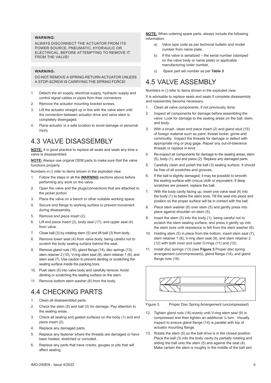### **WARNING:**

ALWAYS DISCONNECT THE ACTUATOR FROM ITS POWER SOURCE, PNEUMATIC, HYDRAULIC OR ELECTRICAL, BEFORE ATTEMPTING TO REMOVE IT FROM THE VALVE!

#### **WARNING:**

DO NOT REMOVE A SPRING-RETURN ACTUATOR UNLESS A STOP-SCREW IS CARRYING THE SPRING FORCE!

- 1. Detach the air supply, electrical supply, hydraulic supply and control signal cables or pipes from their connectors.
- 2. Remove the actuator mounting bracket screws.
- Lift the actuator straight up in line with the valve stem until the connection between actuator drive and valve stem is completely disengaged.
- 4. Place actuator in a safe location to avoid damage or personal injury.

# 4.3 VALVE DISASSEMBLY

**NOTE:** It is good practice to replace all seats and seals any time a valve is disassembled.

**NOTE:** Always use original OEM parts to make sure that the valve functions properly.

Numbers in () refer to items shown in the exploded view

- 1. Follow the steps in all the **WARNING** sections above before performing any work on the valve.
- 2. Open the valve and the plugs/connections that are attached to the jacket portion.
- 3. Place the valve on a bench or other suitable working space.
- 4. Secure end flange to working surface to prevent movement during disassembly.
- 5. Remove end piece insert (2).
- 6. Lift end piece insert (2), body seal (17), and upper seat (4) from valve.
- 7. Close ball (3) by rotating stem (5) and lift ball (3) from body.
- 8. Remove lower seat (4) from valve body, being careful not to scratch the body sealing surface behind the seat.
- 9. Remove gland nuts (16), gland flange (14), disc springs (13), stem retainer 2 (10), V-ring stem seal (9), stem retainer 1 (8), and stem seal (7). Use caution to prevent denting or scratching the sealing surface inside the packing bore.
- 10. Push stem (5) into valve body and carefully remove. Avoid denting or scratching the sealing surface on the stem.
- 11. Remove bottom stem washer (6) from the body.

# 4.4 CHECKING PARTS

- 1. Clean all disassembled parts.
- 2. Check the stem (5) and ball (3) for damage. Pay attention to the sealing areas.
- 3. Check all sealing and gasket surfaces on the body (1) and end piece insert (2).
- 4. Replace any damaged parts.
- 5. Replace any fastener where the threads are damaged or have been heated, stretched or corroded.
- 6. Replace any parts that have cracks, gouges or pits that will affect sealing.

**NOTE:** When ordering spare parts, always include the following information:

- a) Valve type code as per technical bulletin and model number from name plate,
- b) If the valve is serialized the serial number (stamped on the valve body or name plate) or applicable manufacturing order number,
- c) Spare part set number as per **Table 3**.

# 4.5 VALVE ASSEMBLY

Numbers in () refer to items shown in the exploded view.

It is advisable to replace seats and seals if complete disassembly and reassembly become necessary.

- 1. Clean all valve components, if not previously done.
- 2. Inspect all components for damage before assembling the valve. Look for damage to the sealing areas on the ball, stem, and body.
- 3. With a brush, clean end piece insert (2) and gland stud (15) of foreign material such as paint, thread locker, grime and commodity. Inspect the threads for damage or defect with appropriate ring or plug gage. Repair any out-of-tolerance threads or replace in-kind.
- 4. Re-inspect all components for damage to the sealing areas, stem (5), body (1), and end piece (2). Replace any damaged parts.
- 5. Carefully clean and polish the ball (3) sealing surface: It should be free of all scratches and grooves.
- 6. If the ball is slightly damaged, it may be possible to smooth the sealing surface with crocus cloth or equivalent. If deep scratches are present, replace the ball.
- 7. With the body cavity facing up, insert one valve seat (4) into the body (1) to below the stem bore. Tilt the seat into place and position so the proper surface will be in contact with the ball.
- 8. Place stem washer (6) over stem (5) and gently press into place against shoulder on stem (5).
- 9. Insert the stem (5) into the body (1), being careful not to scratch the stem sealing surface; and press it gently up into the stem bore until resistance is felt from the stem washer (6).
- 10. Holding stem (5) in place from the bottom, insert stem seal (7), stem retainer 1 (8), V-ring stem seal (9), and stem retainer 2 (12) with both inner and outer O-rings (11) and (12).
- 11. Install disc springs (13) (see **Figure 3** Proper disc spring arrangement (uncompressed)), gland flange (14), and gland flange nuts (16)



Figure 3. Proper Disc Spring Arrangement (uncompressed)

- 12. Tighten gland nuts (16) evenly until V-ring stem seal (9) is compressed and then tighten an additional ¼ turn. Visually inspect to ensure gland flange (14) is parallel with top of actuator mounting flange.
- 13. Rotate the stem (5) so the ball drive is in the closed position. Place the ball (3) into the body cavity by partially rotating and sliding the ball onto the stem (5) and against the seat (4). Make certain the stem is roughly in the middle of the ball slot.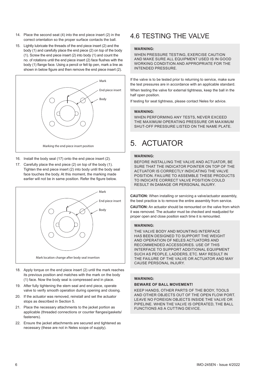- 14. Place the second seat (4) into the end piece insert (2) in the correct orientation so the proper surface contacts the ball.
- 15. Lightly lubricate the threads of the end piece insert (2) and the body (1) and carefully place the end piece (2) on top of the body (1). Screw the end piece insert (2) into body (1) and count the no. of rotations until the end piece insert (2) face flushes with the body (1) flange face. Using a pencil or felt tip pen, mark a line as shown in below figure and then remove the end piece insert (2).



- 16. Install the body seal (17) onto the end piece insert (2).
- 17. Carefully place the end piece (2) on top of the body (1). Tighten the end piece insert (2) into body until the body seal face touches the body. At this moment, the marking made earlier will not be in same position. Refer the figure below.



- 18. Apply torque on the end piece insert (2) until the mark reaches its previous position and matches with the mark on the body (1) face. Now the body seal is compressed and in place.
- 19. After fully tightening the stem seal and end piece, operate valve to verify smooth operation during opening and closing.
- 20. If the actuator was removed, reinstall and set the actuator stops as described in Section 5.
- 21. Place the necessary attachments to the jacket portion as applicable (threaded connections or counter flanges/gaskets/ fasteners).
- 22. Ensure the jacket attachments are secured and tightened as necessary (these are not in Neles scope of supply).

# 4.6 TESTING THE VALVE

### **WARNING:**

WHEN PRESSURE TESTING, EXERCISE CAUTION AND MAKE SURE ALL EQUIPMENT USED IS IN GOOD WORKING CONDITION AND APPROPRIATE FOR THE INTENDED PRESSURE.

If the valve is to be tested prior to returning to service, make sure the test pressures are in accordance with an applicable standard.

When testing the valve for external tightness, keep the ball in the half open position.

If testing for seat tightness, please contact Neles for advice.

#### **WARNING:**

WHEN PERFORMING ANY TESTS, NEVER EXCEED THE MAXIMUM OPERATING PRESSURE OR MAXIMUM SHUT-OFF PRESSURE LISTED ON THE NAME PLATE.

# 5. ACTUATOR

#### **WARNING:**

BEFORE INSTALLING THE VALVE AND ACTUATOR, BE SURE THAT THE INDICATOR POINTER ON TOP OF THE ACTUATOR IS CORRECTLY INDICATING THE VALVE POSITION. FAILURE TO ASSEMBLE THESE PRODUCTS TO INDICATE CORRECT VALVE POSITION COULD RESULT IN DAMAGE OR PERSONAL INJURY.

**CAUTION:** When installing or servicing a valve/actuator assembly, the best practice is to remove the entire assembly from service.

**CAUTION:** An actuator should be remounted on the valve from which it was removed. The actuator must be checked and readjusted for proper open and close position each time it is remounted.

#### **WARNING:**

THE VALVE BODY AND MOUNTING INTERFACE HAS BEEN DESIGNED TO SUPPORT THE WEIGHT AND OPERATION OF NELES ACTUATORS AND RECOMMENDED ACCESSORIES. USE OF THIS INTERFACE TO SUPPORT ADDITIONAL EQUIPMENT SUCH AS PEOPLE, LADDERS, ETC. MAY RESULT IN THE FAILURE OF THE VALVE OR ACTUATOR AND MAY CAUSE PERSONAL INJURY.

#### **WARNING:**

#### **BEWARE OF BALL MOVEMENT!**

KEEP HANDS, OTHER PARTS OF THE BODY, TOOLS AND OTHER OBJECTS OUT OF THE OPEN FLOW PORT. LEAVE NO FOREIGN OBJECTS INSIDE THE VALVE OR PIPELINE. WHEN THE VALVE IS OPERATED, THE BALL FUNCTIONS AS A CUTTING DEVICE.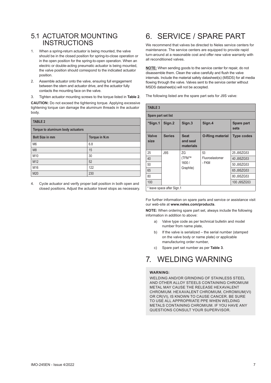### 5.1 ACTUATOR MOUNTING **INSTRUCTIONS**

- 1. When a spring-return actuator is being mounted, the valve should be in the closed position for spring-to-close operation or in the open position for the spring-to-open operation. When an electric or double-acting pneumatic actuator is being mounted, the valve position should correspond to the indicated actuator position.
- 2. Assemble actuator onto the valve, ensuring full engagement between the stem and actuator drive, and the actuator fully contacts the mounting face on the valve.
- 3. Tighten actuator mounting screws to the torque listed in **Table 2**.

**CAUTION:** Do not exceed the tightening torque. Applying excessive tightening torque can damage the aluminum threads in the actuator body.

| <b>TABLE 2</b>                    |               |  |
|-----------------------------------|---------------|--|
| Torque to aluminum body actuators |               |  |
| <b>Bolt Size in mm</b>            | Torque in N.m |  |
| M <sub>6</sub>                    | 6.8           |  |
| M <sub>8</sub>                    | 15            |  |
| M10                               | 30            |  |
| M12                               | 52            |  |
| M16                               | 122           |  |
| M20                               | 230           |  |

4. Cycle actuator and verify proper ball position in both open and closed positions. Adjust the actuator travel stops as necessary.

# 6. SERVICE / SPARE PART

We recommend that valves be directed to Neles service centers for maintenance. The service centers are equipped to provide rapid turn-around at a reasonable cost and offer new valve warranty with all reconditioned valves.

**NOTE:** When sending goods to the service center for repair, do not disassemble them. Clean the valve carefully and flush the valve internals. Include the material safety datasheet(s) (MSDS) for all media flowing through the valve. Valves sent to the service center without MSDS datasheet(s) will not be accepted.

The following listed are the spare part sets for J9S valve:

| <b>TABLE 3</b>       |                            |                                      |                        |                    |            |
|----------------------|----------------------------|--------------------------------------|------------------------|--------------------|------------|
| Spare part set list  |                            |                                      |                        |                    |            |
| *Sign.1              | Sign.2                     | Sign.3                               | Sign.4                 | Spare part<br>sets |            |
| <b>Valve</b><br>size | <b>Series</b>              | <b>Seat</b><br>and seal<br>materials | <b>O-Ring material</b> | <b>Type codes</b>  |            |
| 25                   | J9S                        | ΖG                                   | 53                     | 25 J9SZG53         |            |
| 40                   |                            | (TFM™<br>1600/<br>Graphite)          |                        | Fluoroelastomer    | 40 J9SZG53 |
| 50                   |                            |                                      | - FKM                  | 50 J9SZG53         |            |
| 65                   |                            |                                      |                        |                    | 65 J9SZG53 |
| 80                   |                            |                                      |                        | 80 J9SZG53         |            |
| 100                  |                            |                                      |                        | 100 J9SZG53        |            |
|                      | * leave space after Sign.1 |                                      |                        |                    |            |

For further information on spare parts and service or assistance visit our web-site at **www.neles.com/products**.

**NOTE:** When ordering spare part set, always include the following information in addition to above:

- a) Valve type code as per technical bulletin and model number from name plate,
- b) If the valve is serialized the serial number (stamped on the valve body or name plate) or applicable manufacturing order number,
- c) Spare part set number as per **Table 3**.

# 7. WELDING WARNING

### **WARNING:**

WELDING AND/OR GRINDING OF STAINLESS STEEL AND OTHER ALLOY STEELS CONTAINING CHROMIUM METAL MAY CAUSE THE RELEASE HEXAVALENT CHROMIUM. HEXAVALENT CHROMIUM, CHROMIUM(VI) OR CR(VI), IS KNOWN TO CAUSE CANCER. BE SURE TO USE ALL APPROPRIATE PPE WHEN WELDING METALS CONTAINING CHROMIUM. IF YOU HAVE ANY QUESTIONS CONSULT YOUR SUPERVISOR.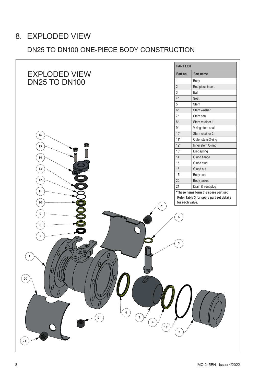# 8. EXPLODED VIEW

# DN25 TO DN100 ONE-PIECE BODY CONSTRUCTION

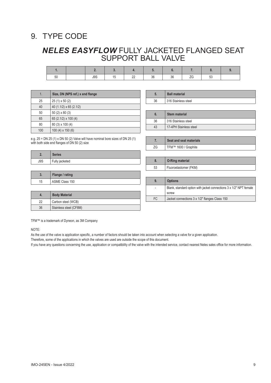# 9. TYPE CODE

# *NELES EASYFLOW* FULLY JACKETED FLANGED SEAT SUPPORT BALL VALVE

| ີ | J9S | n o<br>-- | $\sim$<br>υu | აძ | - -<br>-- | Ju |  |
|---|-----|-----------|--------------|----|-----------|----|--|

| 1.  | Size, DN (NPS ref.) x end flange |
|-----|----------------------------------|
| 25  | $25(1) \times 50(2)$             |
| 40  | 40 (1.1/2) x 65 (2.1/2)          |
| 50  | 50 $(2) \times 80(3)$            |
| 65  | 65 (2.1/2) x 100 (4)             |
| 80  | 80 (3) x 100 (4)                 |
| 100 | 100 $(4) \times 150(6)$          |

| 5. | <b>Ball material</b> |
|----|----------------------|
| 36 | 316 Stainless steel  |
|    |                      |
|    |                      |
| 6. | <b>Stem material</b> |
| 36 | 316 Stainless steel  |

e.g. 25 = DN 25 (1) x DN 50 (2) Valve will have nominal bore sizes of DN 25 (1) with both side end flanges of DN 50 (2) size

| z.  | <b>Series</b>  |  |
|-----|----------------|--|
| J9S | Fully jacketed |  |
|     |                |  |

| v. | Flange / rating |
|----|-----------------|
|    | ASME Class 150  |

| .შ | <b>O-Ring material</b> |
|----|------------------------|
| 53 | Fluoroelastomer (FKM)  |

**7. Seat and seal materials** ZG TFM™ 1600 / Graphite

| 9.  | <b>Options</b>                                                              |
|-----|-----------------------------------------------------------------------------|
|     | Blank, standard option with jacket connections 3 x 1/2" NPT female<br>screw |
| FC. | Jacket connections 3 x 1/2" flanges Class 150                               |

| m. | <b>DUUY MALCHAI</b>    |
|----|------------------------|
| 22 | Carbon steel (WCB)     |
| 36 | Stainless steel (CF8M) |
|    |                        |

TFM™ is a trademark of Dyneon, as 3M Company

**4. Body Material**

NOTE:

As the use of the valve is application specific, a number of factors should be taken into account when selecting a valve for a given application.

Therefore, some of the applications in which the valves are used are outside the scope of this document.

If you have any questions concerning the use, application or compatibility of the valve with the intended service, contact nearest Neles sales office for more information.